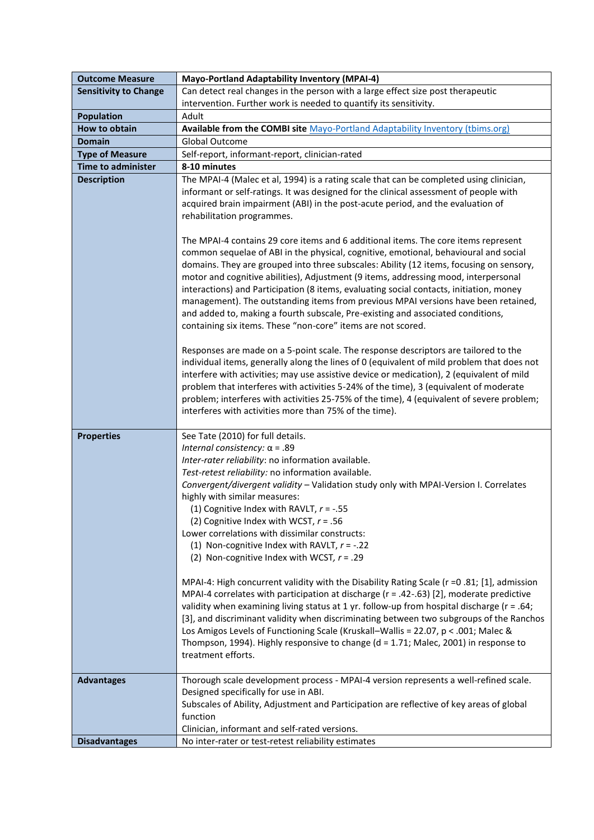| <b>Outcome Measure</b>       | <b>Mayo-Portland Adaptability Inventory (MPAI-4)</b>                                                                                                                                                                                                                                                                                                                                                                                                                                                                                                                                                                                                                                                                                                                                                                                                                                                                                                                                                  |
|------------------------------|-------------------------------------------------------------------------------------------------------------------------------------------------------------------------------------------------------------------------------------------------------------------------------------------------------------------------------------------------------------------------------------------------------------------------------------------------------------------------------------------------------------------------------------------------------------------------------------------------------------------------------------------------------------------------------------------------------------------------------------------------------------------------------------------------------------------------------------------------------------------------------------------------------------------------------------------------------------------------------------------------------|
| <b>Sensitivity to Change</b> | Can detect real changes in the person with a large effect size post therapeutic                                                                                                                                                                                                                                                                                                                                                                                                                                                                                                                                                                                                                                                                                                                                                                                                                                                                                                                       |
|                              | intervention. Further work is needed to quantify its sensitivity.                                                                                                                                                                                                                                                                                                                                                                                                                                                                                                                                                                                                                                                                                                                                                                                                                                                                                                                                     |
| <b>Population</b>            | Adult                                                                                                                                                                                                                                                                                                                                                                                                                                                                                                                                                                                                                                                                                                                                                                                                                                                                                                                                                                                                 |
| How to obtain                | Available from the COMBI site Mayo-Portland Adaptability Inventory (tbims.org)                                                                                                                                                                                                                                                                                                                                                                                                                                                                                                                                                                                                                                                                                                                                                                                                                                                                                                                        |
| Domain                       | <b>Global Outcome</b>                                                                                                                                                                                                                                                                                                                                                                                                                                                                                                                                                                                                                                                                                                                                                                                                                                                                                                                                                                                 |
| <b>Type of Measure</b>       | Self-report, informant-report, clinician-rated                                                                                                                                                                                                                                                                                                                                                                                                                                                                                                                                                                                                                                                                                                                                                                                                                                                                                                                                                        |
| <b>Time to administer</b>    | 8-10 minutes                                                                                                                                                                                                                                                                                                                                                                                                                                                                                                                                                                                                                                                                                                                                                                                                                                                                                                                                                                                          |
| <b>Description</b>           | The MPAI-4 (Malec et al, 1994) is a rating scale that can be completed using clinician,<br>informant or self-ratings. It was designed for the clinical assessment of people with<br>acquired brain impairment (ABI) in the post-acute period, and the evaluation of<br>rehabilitation programmes.<br>The MPAI-4 contains 29 core items and 6 additional items. The core items represent<br>common sequelae of ABI in the physical, cognitive, emotional, behavioural and social<br>domains. They are grouped into three subscales: Ability (12 items, focusing on sensory,<br>motor and cognitive abilities), Adjustment (9 items, addressing mood, interpersonal<br>interactions) and Participation (8 items, evaluating social contacts, initiation, money<br>management). The outstanding items from previous MPAI versions have been retained,<br>and added to, making a fourth subscale, Pre-existing and associated conditions,<br>containing six items. These "non-core" items are not scored. |
|                              | Responses are made on a 5-point scale. The response descriptors are tailored to the<br>individual items, generally along the lines of 0 (equivalent of mild problem that does not<br>interfere with activities; may use assistive device or medication), 2 (equivalent of mild<br>problem that interferes with activities 5-24% of the time), 3 (equivalent of moderate<br>problem; interferes with activities 25-75% of the time), 4 (equivalent of severe problem;<br>interferes with activities more than 75% of the time).                                                                                                                                                                                                                                                                                                                                                                                                                                                                        |
| <b>Properties</b>            | See Tate (2010) for full details.                                                                                                                                                                                                                                                                                                                                                                                                                                                                                                                                                                                                                                                                                                                                                                                                                                                                                                                                                                     |
|                              | Internal consistency: $\alpha$ = .89                                                                                                                                                                                                                                                                                                                                                                                                                                                                                                                                                                                                                                                                                                                                                                                                                                                                                                                                                                  |
|                              | Inter-rater reliability: no information available.                                                                                                                                                                                                                                                                                                                                                                                                                                                                                                                                                                                                                                                                                                                                                                                                                                                                                                                                                    |
|                              | Test-retest reliability: no information available.                                                                                                                                                                                                                                                                                                                                                                                                                                                                                                                                                                                                                                                                                                                                                                                                                                                                                                                                                    |
|                              | Convergent/divergent validity - Validation study only with MPAI-Version I. Correlates                                                                                                                                                                                                                                                                                                                                                                                                                                                                                                                                                                                                                                                                                                                                                                                                                                                                                                                 |
|                              | highly with similar measures:<br>(1) Cognitive Index with RAVLT, $r = -.55$                                                                                                                                                                                                                                                                                                                                                                                                                                                                                                                                                                                                                                                                                                                                                                                                                                                                                                                           |
|                              | (2) Cognitive Index with WCST, $r = .56$                                                                                                                                                                                                                                                                                                                                                                                                                                                                                                                                                                                                                                                                                                                                                                                                                                                                                                                                                              |
|                              | Lower correlations with dissimilar constructs:                                                                                                                                                                                                                                                                                                                                                                                                                                                                                                                                                                                                                                                                                                                                                                                                                                                                                                                                                        |
|                              | (1) Non-cognitive Index with RAVLT, $r = -.22$                                                                                                                                                                                                                                                                                                                                                                                                                                                                                                                                                                                                                                                                                                                                                                                                                                                                                                                                                        |
|                              | (2) Non-cognitive Index with WCST, $r = .29$                                                                                                                                                                                                                                                                                                                                                                                                                                                                                                                                                                                                                                                                                                                                                                                                                                                                                                                                                          |
|                              | MPAI-4: High concurrent validity with the Disability Rating Scale (r = 0.81; [1], admission<br>MPAI-4 correlates with participation at discharge ( $r = .42-.63$ ) [2], moderate predictive<br>validity when examining living status at 1 yr. follow-up from hospital discharge (r = .64;<br>[3], and discriminant validity when discriminating between two subgroups of the Ranchos<br>Los Amigos Levels of Functioning Scale (Kruskall-Wallis = 22.07, p < .001; Malec &<br>Thompson, 1994). Highly responsive to change (d = 1.71; Malec, 2001) in response to<br>treatment efforts.                                                                                                                                                                                                                                                                                                                                                                                                               |
| <b>Advantages</b>            | Thorough scale development process - MPAI-4 version represents a well-refined scale.                                                                                                                                                                                                                                                                                                                                                                                                                                                                                                                                                                                                                                                                                                                                                                                                                                                                                                                  |
|                              | Designed specifically for use in ABI.<br>Subscales of Ability, Adjustment and Participation are reflective of key areas of global<br>function                                                                                                                                                                                                                                                                                                                                                                                                                                                                                                                                                                                                                                                                                                                                                                                                                                                         |
|                              | Clinician, informant and self-rated versions.                                                                                                                                                                                                                                                                                                                                                                                                                                                                                                                                                                                                                                                                                                                                                                                                                                                                                                                                                         |
| <b>Disadvantages</b>         | No inter-rater or test-retest reliability estimates                                                                                                                                                                                                                                                                                                                                                                                                                                                                                                                                                                                                                                                                                                                                                                                                                                                                                                                                                   |